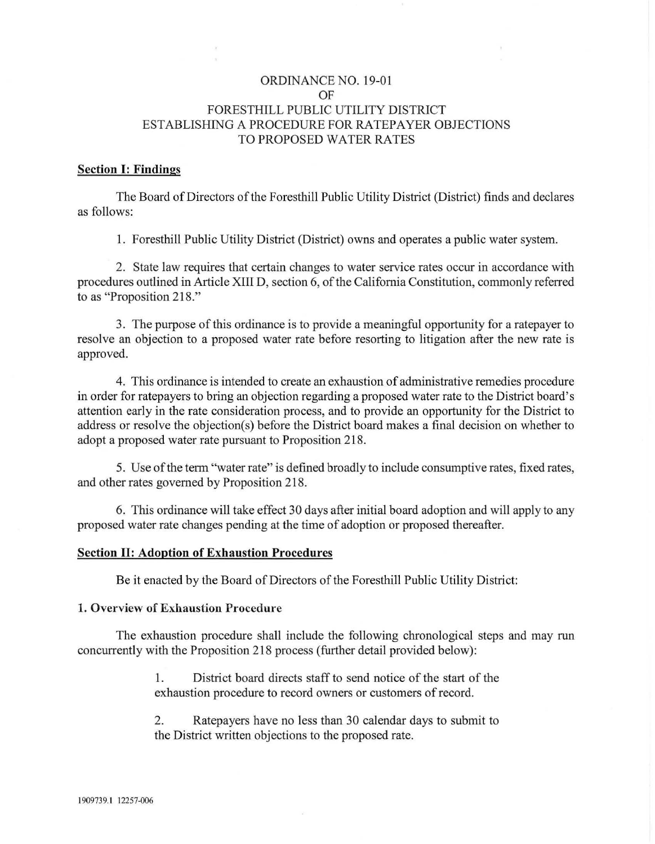# ORDINANCE NO. 19-01 OF FORESTHILL PUBLIC UTILITY DISTRICT ESTABLISHING A PROCEDURE FOR RATEPAYER OBJECTIONS TO PROPOSED WATER RATES

### Section I: Findings

The Board of Directors of the Foresthill Public Utility District (District) finds and declares as follows:

1. Foresthill Public Utility District (District) owns and operates a public water system.

2. State law requires that certain changes to water service rates occur in accordance with procedures outlined in Article XIII D, section 6, of the California Constitution, commonly referred to as "Proposition 218."

3. The purpose of this ordinance is to provide a meaningful opportunity for a ratepayer to resolve an objection to a proposed water rate before resorting to litigation after the new rate is approved.

4. This ordinance is intended to create an exhaustion of administrative remedies procedure in order for ratepayers to bring an objection regarding a proposed water rate to the District board's attention early in the rate consideration process, and to provide an opportunity for the District to address or resolve the objection(s) before the District board makes a final decision on whether to adopt a proposed water rate pursuant to Proposition 218.

5. Use of the term "water rate" is defined broadly to include consumptive rates, fixed rates, and other rates governed by Proposition 218.

6. This ordinance will take effect 30 days after initial board adoption and will apply to any proposed water rate changes pending at the time of adoption or proposed thereafter.

### Section II: Adoption of Exhaustion Procedures

Be it enacted by the Board of Directors of the Foresthill Public Utility District:

#### 1. Overview of Exhaustion Procedure

The exhaustion procedure shall include the following chronological steps and may run concurrently with the Proposition 218 process (further detail provided below):

> 1. District board directs staff to send notice of the start of the exhaustion procedure to record owners or customers of record.

> 2. Ratepayers have no less than 30 calendar days to submit to the District written objections to the proposed rate.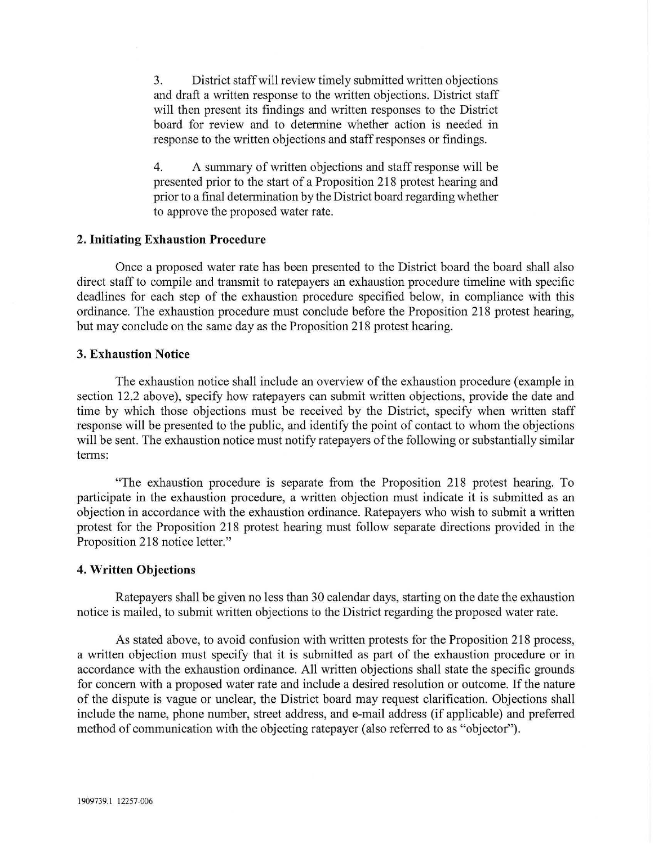3. District staff will review timely submitted written objections and draft a written response to the written objections. District staff will then present its findings and written responses to the District board for review and to determine whether action is needed in response to the written objections and staff responses or findings.

4. A summary of written objections and staff response will be presented prior to the start of a Proposition 218 protest hearing and prior to a final determination by the District board regarding whether to approve the proposed water rate.

# **2. Initiating Exhaustion Procedure**

Once a proposed water rate has been presented to the District board the board shall also direct staff to compile and transmit to ratepayers an exhaustion procedure timeline with specific deadlines for each step of the exhaustion procedure specified below, in compliance with this ordinance. The exhaustion procedure must conclude before the Proposition 218 protest hearing, but may conclude on the same day as the Proposition 218 protest hearing.

# **3. Exhaustion Notice**

The exhaustion notice shall include an overview of the exhaustion procedure (example in section 12.2 above), specify how ratepayers can submit written objections, provide the date and time by which those objections must be received by the District, specify when written staff response will be presented to the public, and identify the point of contact to whom the objections will be sent. The exhaustion notice must notify ratepayers of the following or substantially similar terms:

"The exhaustion procedure is separate from the Proposition 218 protest hearing. To participate in the exhaustion procedure, a written objection must indicate it is submitted as an objection in accordance with the exhaustion ordinance. Ratepayers who wish to submit a written protest for the Proposition 218 protest hearing must follow separate directions provided in the Proposition 218 notice letter."

#### **4. Written Objections**

Ratepayers shall be given no less than 30 calendar days, starting on the date the exhaustion notice is mailed, to submit written objections to the District regarding the proposed water rate.

As stated above, to avoid confusion with written protests for the Proposition 218 process, a written objection must specify that it is submitted as part of the exhaustion procedure or in accordance with the exhaustion ordinance. All written objections shall state the specific grounds for concern with a proposed water rate and include a desired resolution or outcome. If the nature of the dispute is vague or unclear, the District board may request clarification. Objections shall include the name, phone number, street address, and e-mail address (if applicable) and preferred method of communication with the objecting ratepayer (also referred to as "objector").